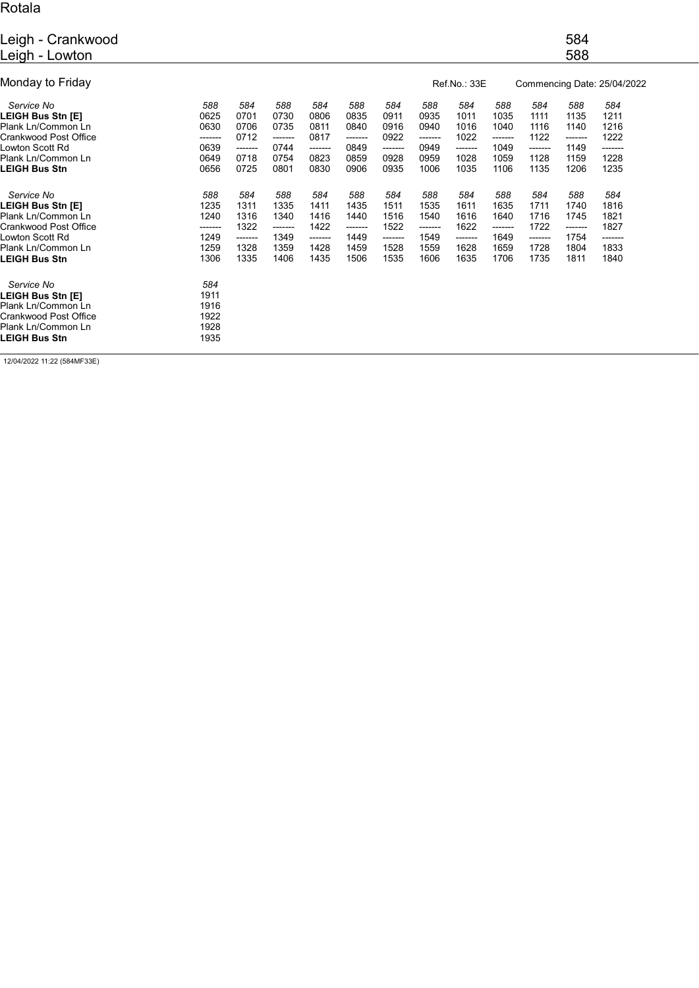## Rotala

| Leigh - Crankwood<br>Leigh - Lowton                                                                                                      |                                                        |                                                        |                                                        |                                                        |                                                        |                                                        |                                                        |                                                        |                                                         |                                                        | 584<br>588                                             |                                                        |  |
|------------------------------------------------------------------------------------------------------------------------------------------|--------------------------------------------------------|--------------------------------------------------------|--------------------------------------------------------|--------------------------------------------------------|--------------------------------------------------------|--------------------------------------------------------|--------------------------------------------------------|--------------------------------------------------------|---------------------------------------------------------|--------------------------------------------------------|--------------------------------------------------------|--------------------------------------------------------|--|
| Monday to Friday                                                                                                                         |                                                        |                                                        |                                                        |                                                        |                                                        |                                                        |                                                        | Ref.No.: 33E                                           |                                                         | Commencing Date: 25/04/2022                            |                                                        |                                                        |  |
| Service No<br>LEIGH Bus Stn [E]<br>Plank Ln/Common Ln<br>Crankwood Post Office<br>Lowton Scott Rd<br>Plank Ln/Common Ln<br>LEIGH Bus Stn | 588<br>0625<br>0630<br>-------<br>0639<br>0649<br>0656 | 584<br>0701<br>0706<br>0712<br>-------<br>0718<br>0725 | 588<br>0730<br>0735<br>-------<br>0744<br>0754<br>0801 | 584<br>0806<br>0811<br>0817<br>-------<br>0823<br>0830 | 588<br>0835<br>0840<br>-------<br>0849<br>0859<br>0906 | 584<br>0911<br>0916<br>0922<br>-------<br>0928<br>0935 | 588<br>0935<br>0940<br>-------<br>0949<br>0959<br>1006 | 584<br>1011<br>1016<br>1022<br>-------<br>1028<br>1035 | 588<br>1035<br>1040<br>--------<br>1049<br>1059<br>1106 | 584<br>1111<br>1116<br>1122<br>-------<br>1128<br>1135 | 588<br>1135<br>1140<br>-------<br>1149<br>1159<br>1206 | 584<br>1211<br>1216<br>1222<br>-------<br>1228<br>1235 |  |
| Service No<br>LEIGH Bus Stn [E]<br>Plank Ln/Common Ln<br>Crankwood Post Office<br>Lowton Scott Rd<br>Plank Ln/Common Ln<br>LEIGH Bus Stn | 588<br>1235<br>1240<br>-------<br>1249<br>1259<br>1306 | 584<br>1311<br>1316<br>1322<br>-------<br>1328<br>1335 | 588<br>1335<br>1340<br>-------<br>1349<br>1359<br>1406 | 584<br>1411<br>1416<br>1422<br>-------<br>1428<br>1435 | 588<br>1435<br>1440<br>-------<br>1449<br>1459<br>1506 | 584<br>1511<br>1516<br>1522<br>-------<br>1528<br>1535 | 588<br>1535<br>1540<br>-------<br>1549<br>1559<br>1606 | 584<br>1611<br>1616<br>1622<br>-------<br>1628<br>1635 | 588<br>1635<br>1640<br>--------<br>1649<br>1659<br>1706 | 584<br>1711<br>1716<br>1722<br>-------<br>1728<br>1735 | 588<br>1740<br>1745<br>-------<br>1754<br>1804<br>1811 | 584<br>1816<br>1821<br>1827<br>-------<br>1833<br>1840 |  |
| Service No<br>LEIGH Bus Stn [E]<br>Plank Ln/Common Ln<br>Crankwood Post Office<br>Plank Ln/Common Ln<br><b>LEIGH Bus Stn</b>             | 584<br>1911<br>1916<br>1922<br>1928<br>1935            |                                                        |                                                        |                                                        |                                                        |                                                        |                                                        |                                                        |                                                         |                                                        |                                                        |                                                        |  |

12/04/2022 11:22 (584MF33E)